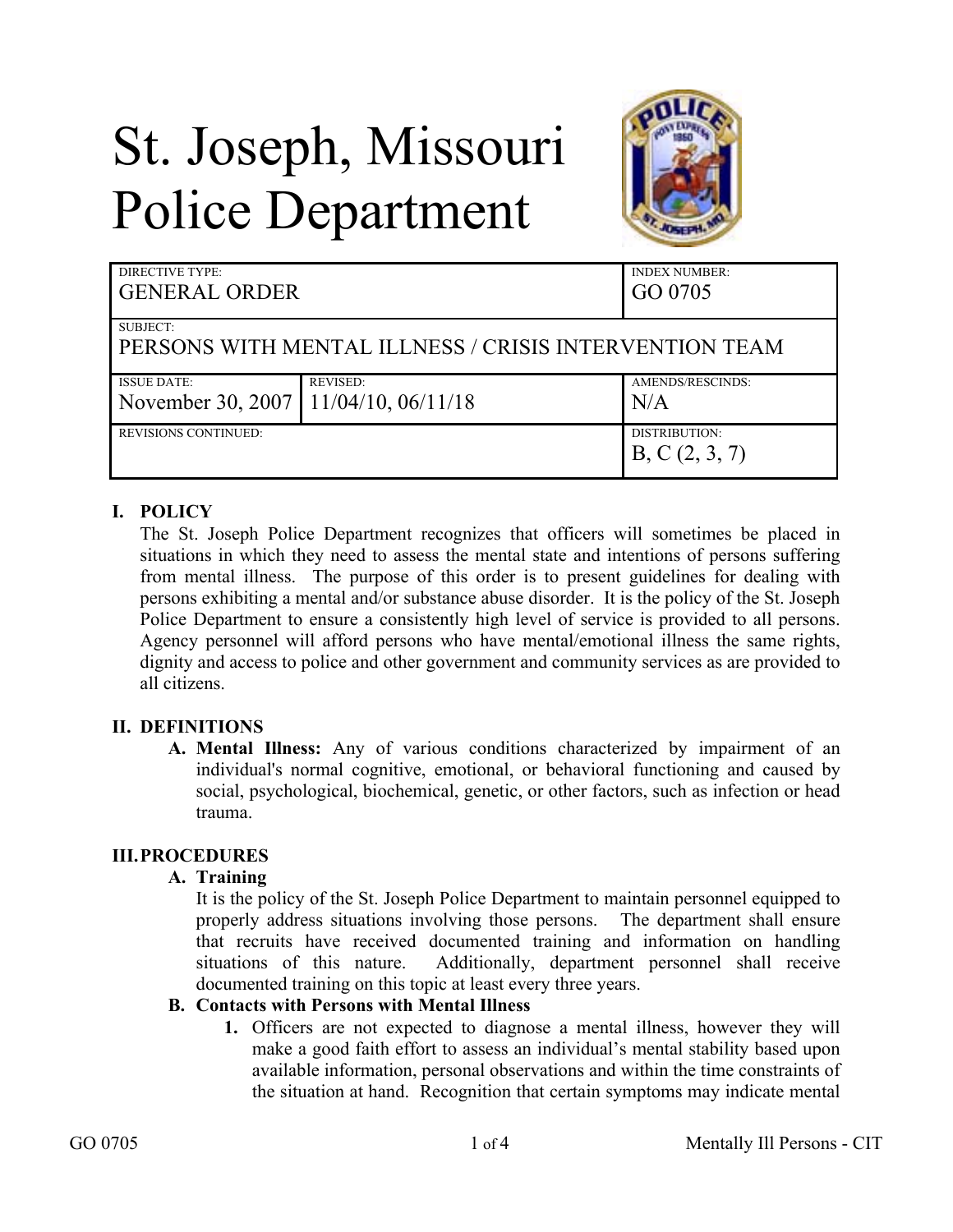# St. Joseph, Missouri Police Department



| DIRECTIVE TYPE:<br><b>GENERAL ORDER</b>                |                 | <b>INDEX NUMBER:</b><br>GO 0705 |
|--------------------------------------------------------|-----------------|---------------------------------|
| SUBJECT:                                               |                 |                                 |
| PERSONS WITH MENTAL ILLNESS / CRISIS INTERVENTION TEAM |                 |                                 |
| <b>ISSUE DATE:</b>                                     | <b>REVISED:</b> | AMENDS/RESCINDS:                |
| November 30, 2007   11/04/10, 06/11/18                 |                 | N/A                             |
| <b>REVISIONS CONTINUED:</b>                            |                 | DISTRIBUTION:                   |
|                                                        |                 | B, C(2, 3, 7)                   |

## **I. POLICY**

The St. Joseph Police Department recognizes that officers will sometimes be placed in situations in which they need to assess the mental state and intentions of persons suffering from mental illness. The purpose of this order is to present guidelines for dealing with persons exhibiting a mental and/or substance abuse disorder. It is the policy of the St. Joseph Police Department to ensure a consistently high level of service is provided to all persons. Agency personnel will afford persons who have mental/emotional illness the same rights, dignity and access to police and other government and community services as are provided to all citizens.

### **II. DEFINITIONS**

**A. Mental Illness:** Any of various conditions characterized by impairment of an individual's normal cognitive, emotional, or behavioral functioning and caused by social, psychological, biochemical, genetic, or other factors, such as infection or head trauma.

### **III.PROCEDURES**

### **A. Training**

It is the policy of the St. Joseph Police Department to maintain personnel equipped to properly address situations involving those persons. The department shall ensure that recruits have received documented training and information on handling situations of this nature. Additionally, department personnel shall receive documented training on this topic at least every three years.

### **B. Contacts with Persons with Mental Illness**

**1.** Officers are not expected to diagnose a mental illness, however they will make a good faith effort to assess an individual's mental stability based upon available information, personal observations and within the time constraints of the situation at hand. Recognition that certain symptoms may indicate mental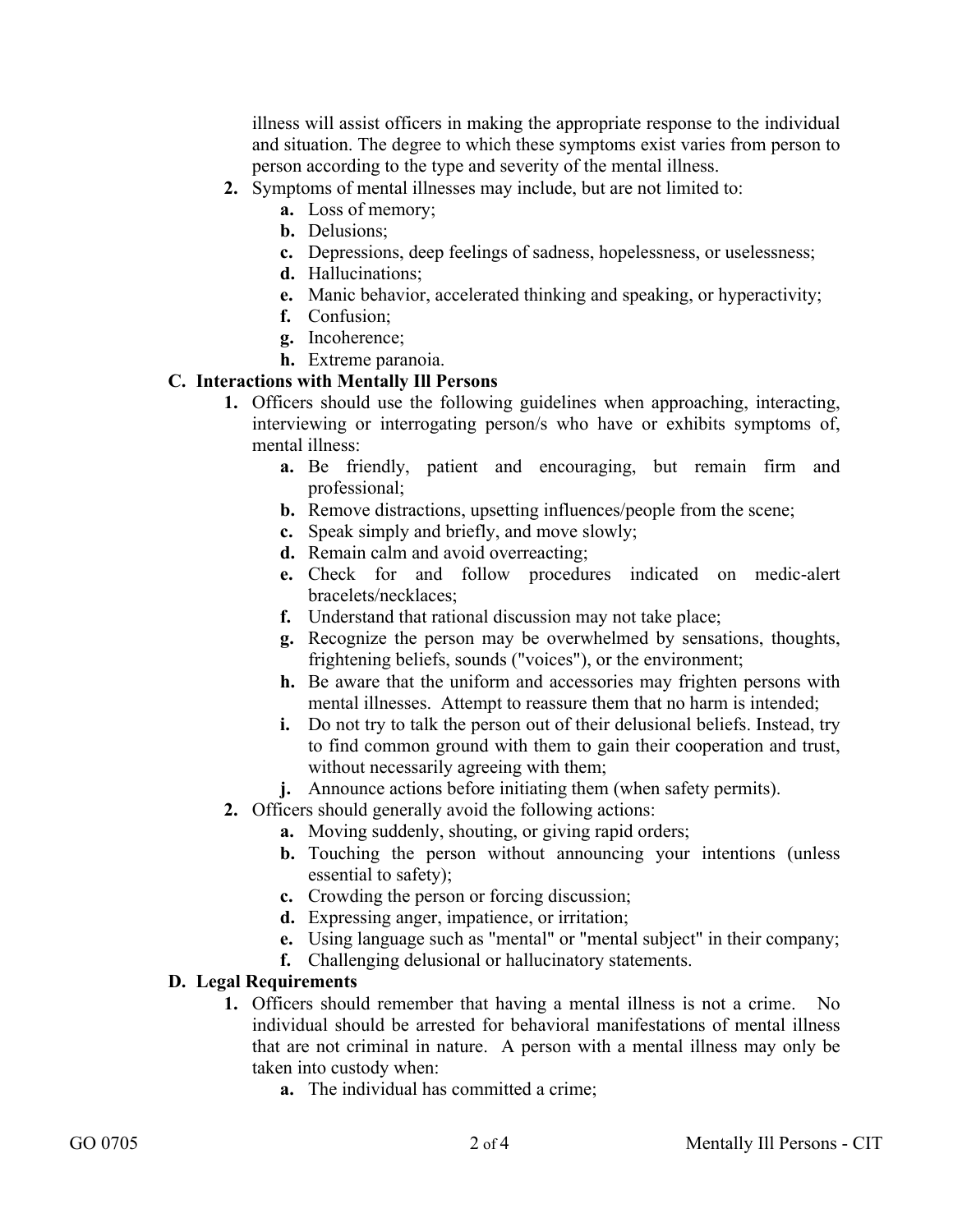illness will assist officers in making the appropriate response to the individual and situation. The degree to which these symptoms exist varies from person to person according to the type and severity of the mental illness.

- **2.** Symptoms of mental illnesses may include, but are not limited to:
	- **a.** Loss of memory;
	- **b.** Delusions;
	- **c.** Depressions, deep feelings of sadness, hopelessness, or uselessness;
	- **d.** Hallucinations;
	- **e.** Manic behavior, accelerated thinking and speaking, or hyperactivity;
	- **f.** Confusion;
	- **g.** Incoherence;
	- **h.** Extreme paranoia.

### **C. Interactions with Mentally Ill Persons**

- **1.** Officers should use the following guidelines when approaching, interacting, interviewing or interrogating person/s who have or exhibits symptoms of, mental illness:
	- **a.** Be friendly, patient and encouraging, but remain firm and professional;
	- **b.** Remove distractions, upsetting influences/people from the scene;
	- **c.** Speak simply and briefly, and move slowly;
	- **d.** Remain calm and avoid overreacting;
	- **e.** Check for and follow procedures indicated on medic-alert bracelets/necklaces;
	- **f.** Understand that rational discussion may not take place;
	- **g.** Recognize the person may be overwhelmed by sensations, thoughts, frightening beliefs, sounds ("voices"), or the environment;
	- **h.** Be aware that the uniform and accessories may frighten persons with mental illnesses. Attempt to reassure them that no harm is intended;
	- **i.** Do not try to talk the person out of their delusional beliefs. Instead, try to find common ground with them to gain their cooperation and trust, without necessarily agreeing with them;
	- **j.** Announce actions before initiating them (when safety permits).
- **2.** Officers should generally avoid the following actions:
	- **a.** Moving suddenly, shouting, or giving rapid orders;
	- **b.** Touching the person without announcing your intentions (unless essential to safety);
	- **c.** Crowding the person or forcing discussion;
	- **d.** Expressing anger, impatience, or irritation;
	- **e.** Using language such as "mental" or "mental subject" in their company;
	- **f.** Challenging delusional or hallucinatory statements.

### **D. Legal Requirements**

- **1.** Officers should remember that having a mental illness is not a crime. No individual should be arrested for behavioral manifestations of mental illness that are not criminal in nature. A person with a mental illness may only be taken into custody when:
	- **a.** The individual has committed a crime;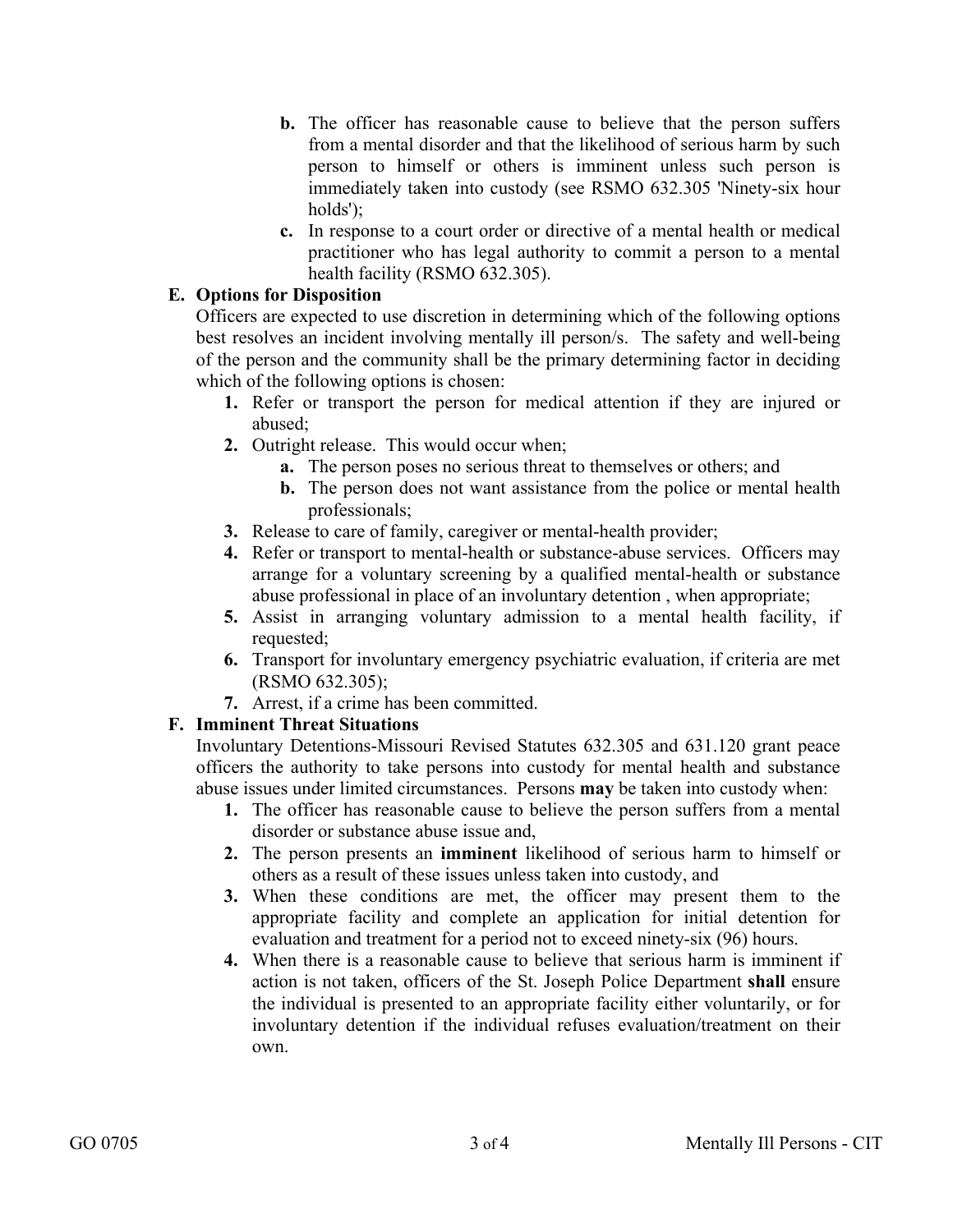- **b.** The officer has reasonable cause to believe that the person suffers from a mental disorder and that the likelihood of serious harm by such person to himself or others is imminent unless such person is immediately taken into custody (see RSMO 632.305 'Ninety-six hour holds');
- **c.** In response to a court order or directive of a mental health or medical practitioner who has legal authority to commit a person to a mental health facility (RSMO 632.305).

#### **E. Options for Disposition**

Officers are expected to use discretion in determining which of the following options best resolves an incident involving mentally ill person/s. The safety and well-being of the person and the community shall be the primary determining factor in deciding which of the following options is chosen:

- **1.** Refer or transport the person for medical attention if they are injured or abused;
- **2.** Outright release. This would occur when;
	- **a.** The person poses no serious threat to themselves or others; and
	- **b.** The person does not want assistance from the police or mental health professionals;
- **3.** Release to care of family, caregiver or mental-health provider;
- **4.** Refer or transport to mental-health or substance-abuse services. Officers may arrange for a voluntary screening by a qualified mental-health or substance abuse professional in place of an involuntary detention , when appropriate;
- **5.** Assist in arranging voluntary admission to a mental health facility, if requested;
- **6.** Transport for involuntary emergency psychiatric evaluation, if criteria are met (RSMO 632.305);
- **7.** Arrest, if a crime has been committed.

# **F. Imminent Threat Situations**

Involuntary Detentions-Missouri Revised Statutes 632.305 and 631.120 grant peace officers the authority to take persons into custody for mental health and substance abuse issues under limited circumstances. Persons **may** be taken into custody when:

- **1.** The officer has reasonable cause to believe the person suffers from a mental disorder or substance abuse issue and,
- **2.** The person presents an **imminent** likelihood of serious harm to himself or others as a result of these issues unless taken into custody, and
- **3.** When these conditions are met, the officer may present them to the appropriate facility and complete an application for initial detention for evaluation and treatment for a period not to exceed ninety-six (96) hours.
- **4.** When there is a reasonable cause to believe that serious harm is imminent if action is not taken, officers of the St. Joseph Police Department **shall** ensure the individual is presented to an appropriate facility either voluntarily, or for involuntary detention if the individual refuses evaluation/treatment on their own.